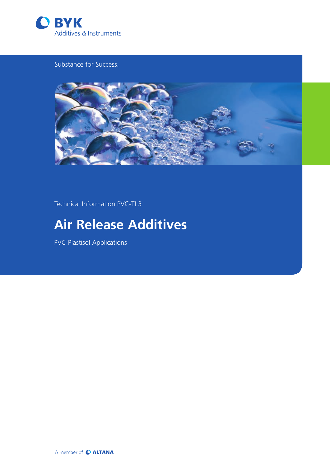

Substance for Success.



Technical Information PVC-TI 3

# **Air Release Additives**

PVC Plastisol Applications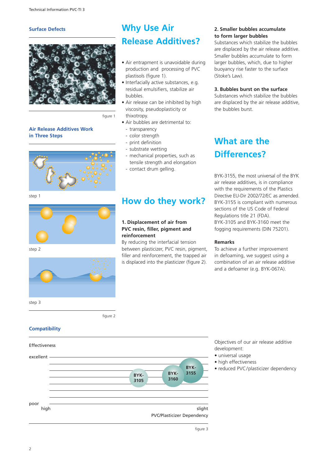#### **Surface Defects**



figure 1

## **Air Release Additives Work in Three Steps**



## step 1



step 2



## **Why Use Air Release Additives?**

- Air entrapment is unavoidable during production and processing of PVC plastisols (figure 1).
- Interfacially active substances, e.g. residual emulsifiers, stabilize air bubbles.
- Air release can be inhibited by high viscosity, pseudoplasticity or thixotropy.
- Air bubbles are detrimental to:
	- transparency
	- color strength
	- print definition
	- substrate wetting
	- mechanical properties, such as tensile strength and elongation
	- contact drum gelling.

## **How do they work?**

### **1. Displacement of air from PVC resin, filler, pigment and reinforcement**

By reducing the interfacial tension between plasticizer, PVC resin, pigment, filler and reinforcement, the trapped air is displaced into the plasticizer (figure 2).

### **2. Smaller bubbles accumulate to form larger bubbles**

Substances which stabilize the bubbles are displaced by the air release additive. Smaller bubbles accumulate to form larger bubbles, which, due to higher buoyancy rise faster to the surface (Stoke's Law).

### **3. Bubbles burst on the surface**

Substances which stabilize the bubbles are displaced by the air release additive, the bubbles burst.

## **What are the Differences?**

BYK-3155, the most universal of the BYK air release additives, is in compliance with the requirements of the Plastics Directive EU-Dir 2002/72/EC as amended. BYK-3155 is compliant with numerous sections of the US Code of Federal Regulations title 21 (FDA). BYK-3105 and BYK-3160 meet the fogging requirements (DIN 75201).

### **Remarks**

To achieve a further improvement in defoaming, we suggest using a combination of an air release additive and a defoamer (e.g. BYK-067A).

figure 2

## **Compatibility**



Objectives of our air release additive development:

- universal usage
- high effectiveness
- reduced PVC/plasticizer dependency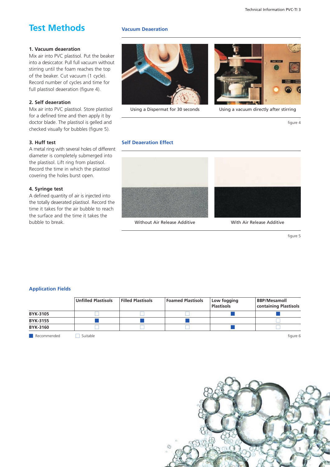#### Technical Information PVC-TI 3

## **Test Methods**

#### **1. Vacuum deaeration**

Mix air into PVC plastisol. Put the beaker into a desiccator. Pull full vacuum without stirring until the foam reaches the top of the beaker. Cut vacuum (1 cycle). Record number of cycles and time for full plastisol deaeration (figure 4).

### **2. Self deaeration**

Mix air into PVC plastisol. Store plastisol for a defined time and then apply it by doctor blade. The plastisol is gelled and checked visually for bubbles (figure 5).

### **3. Huff test**

A metal ring with several holes of different diameter is completely submerged into the plastisol. Lift ring from plastisol. Record the time in which the plastisol covering the holes burst open.

#### **4. Syringe test**

A defined quantity of air is injected into the totally deaerated plastisol. Record the time it takes for the air bubble to reach the surface and the time it takes the bubble to break.

#### **Vacuum Deaeration**





Using a Dispermat for 30 seconds Using a vacuum directly after stirring

figure 4

## **Self Deaeration Effect**



Without Air Release Additive **With Air Release Additive** 



figure 5

### **Application Fields**

|                 | Unfilled Plastisols | <b>Filled Plastisols</b> | <b>Foamed Plastisols</b> | Low fogging<br><b>Plastisols</b> | <b>BBP/Mesamoll</b><br>containing Plastisols |
|-----------------|---------------------|--------------------------|--------------------------|----------------------------------|----------------------------------------------|
| <b>BYK-3105</b> |                     |                          |                          |                                  |                                              |
| <b>BYK-3155</b> |                     |                          |                          |                                  |                                              |
| <b>BYK-3160</b> |                     |                          |                          |                                  |                                              |

■ Recommended and Suitable figure 6 Suitable figure 6 Suitable figure 6 Suitable figure 6 Suitable figure 6 Suitable figure 6 Suitable figure 6 Suitable figure 6 Suitable figure 6 Suitable figure 6 Suitable figure 6 Suita